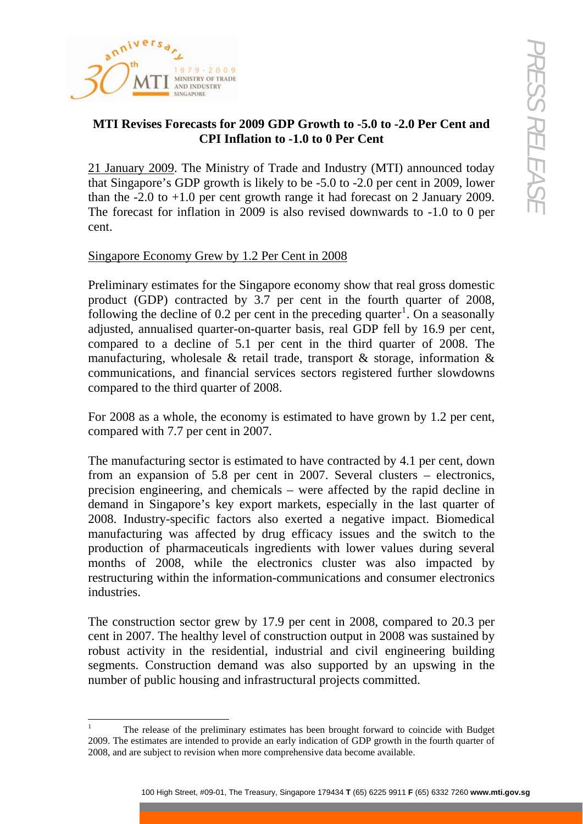

## **MTI Revises Forecasts for 2009 GDP Growth to -5.0 to -2.0 Per Cent and CPI Inflation to -1.0 to 0 Per Cent**

21 January 2009. The Ministry of Trade and Industry (MTI) announced today that Singapore's GDP growth is likely to be -5.0 to -2.0 per cent in 2009, lower than the -2.0 to +1.0 per cent growth range it had forecast on 2 January 2009. The forecast for inflation in 2009 is also revised downwards to -1.0 to 0 per cent.

## Singapore Economy Grew by 1.2 Per Cent in 2008

Preliminary estimates for the Singapore economy show that real gross domestic product (GDP) contracted by 3.7 per cent in the fourth quarter of 2008, following the decline of 0.2 per cent in the preceding quarter<sup>[1](#page-0-0)</sup>. On a seasonally adjusted, annualised quarter-on-quarter basis, real GDP fell by 16.9 per cent, compared to a decline of 5.1 per cent in the third quarter of 2008. The manufacturing, wholesale & retail trade, transport & storage, information & communications, and financial services sectors registered further slowdowns compared to the third quarter of 2008.

For 2008 as a whole, the economy is estimated to have grown by 1.2 per cent, compared with 7.7 per cent in 2007.

**1714**  $\frac{1}{\sqrt{100}}$  **Conserverse COP COP Crowth to -5.0 to -2.0 Per Cent and**  $\sim$ **2.0 Per Cent and**  $\sim$ **2.0 Per Cent in Treasury, MTT) amounted tracking the CoP (Translation to -1.0 to 0 Per Cent industry, MTT) amounted t** The manufacturing sector is estimated to have contracted by 4.1 per cent, down from an expansion of 5.8 per cent in 2007. Several clusters – electronics, precision engineering, and chemicals – were affected by the rapid decline in demand in Singapore's key export markets, especially in the last quarter of 2008. Industry-specific factors also exerted a negative impact. Biomedical manufacturing was affected by drug efficacy issues and the switch to the production of pharmaceuticals ingredients with lower values during several months of 2008, while the electronics cluster was also impacted by restructuring within the information-communications and consumer electronics industries.

The construction sector grew by 17.9 per cent in 2008, compared to 20.3 per cent in 2007. The healthy level of construction output in 2008 was sustained by robust activity in the residential, industrial and civil engineering building segments. Construction demand was also supported by an upswing in the number of public housing and infrastructural projects committed.

<span id="page-0-0"></span><sup>-</sup>1 The release of the preliminary estimates has been brought forward to coincide with Budget 2009. The estimates are intended to provide an early indication of GDP growth in the fourth quarter of 2008, and are subject to revision when more comprehensive data become available.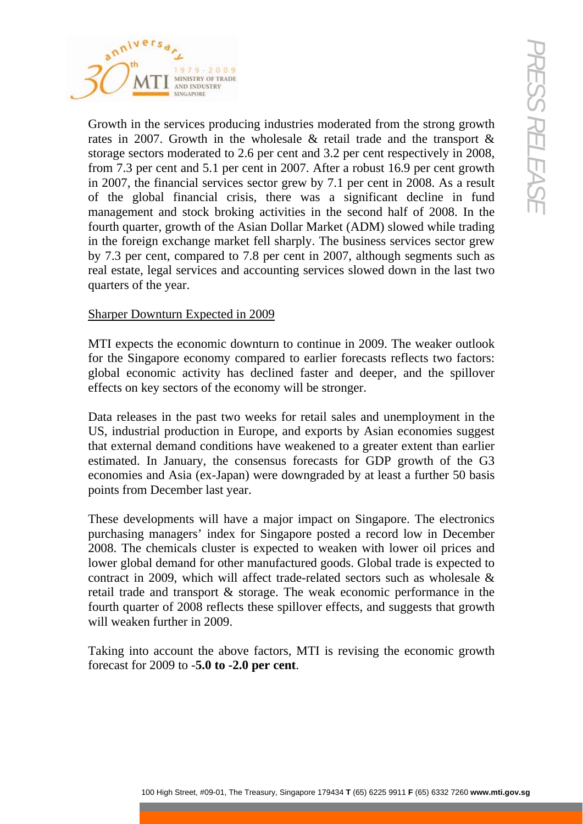**1000**<br> **1000** Month in the wholesale & retuil read the unit product of the strong growth  $\sim$  0007, Growth in the wholesale & retuil read the transport &  $\sim$ <br>
The recurs and 3.2 per cent in 3002, After a robust 16.0 per Growth in the services producing industries moderated from the strong growth rates in 2007. Growth in the wholesale & retail trade and the transport & storage sectors moderated to 2.6 per cent and 3.2 per cent respectively in 2008, from 7.3 per cent and 5.1 per cent in 2007. After a robust 16.9 per cent growth in 2007, the financial services sector grew by 7.1 per cent in 2008. As a result of the global financial crisis, there was a significant decline in fund management and stock broking activities in the second half of 2008. In the fourth quarter, growth of the Asian Dollar Market (ADM) slowed while trading in the foreign exchange market fell sharply. The business services sector grew by 7.3 per cent, compared to 7.8 per cent in 2007, although segments such as real estate, legal services and accounting services slowed down in the last two quarters of the year.

## Sharper Downturn Expected in 2009

MTI expects the economic downturn to continue in 2009. The weaker outlook for the Singapore economy compared to earlier forecasts reflects two factors: global economic activity has declined faster and deeper, and the spillover effects on key sectors of the economy will be stronger.

Data releases in the past two weeks for retail sales and unemployment in the US, industrial production in Europe, and exports by Asian economies suggest that external demand conditions have weakened to a greater extent than earlier estimated. In January, the consensus forecasts for GDP growth of the G3 economies and Asia (ex-Japan) were downgraded by at least a further 50 basis points from December last year.

These developments will have a major impact on Singapore. The electronics purchasing managers' index for Singapore posted a record low in December 2008. The chemicals cluster is expected to weaken with lower oil prices and lower global demand for other manufactured goods. Global trade is expected to contract in 2009, which will affect trade-related sectors such as wholesale & retail trade and transport & storage. The weak economic performance in the fourth quarter of 2008 reflects these spillover effects, and suggests that growth will weaken further in 2009.

Taking into account the above factors, MTI is revising the economic growth forecast for 2009 to -**5.0 to -2.0 per cent**.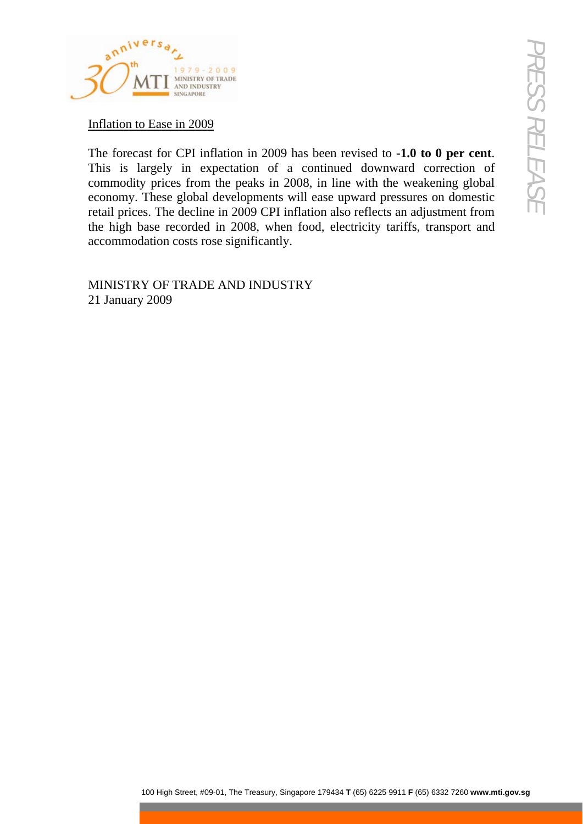

Inflation to Ease in 2009

**100 High Street, and Street, and Street, and Street, and Street, and Street, and Street, and Street, and Street, and Street, and Street, and Street, and Street, and Street, and Street, and Street, and Street, and Street,** The forecast for CPI inflation in 2009 has been revised to **-1.0 to 0 per cent**. This is largely in expectation of a continued downward correction of commodity prices from the peaks in 2008, in line with the weakening global economy. These global developments will ease upward pressures on domestic retail prices. The decline in 2009 CPI inflation also reflects an adjustment from the high base recorded in 2008, when food, electricity tariffs, transport and accommodation costs rose significantly.

MINISTRY OF TRADE AND INDUSTRY 21 January 2009